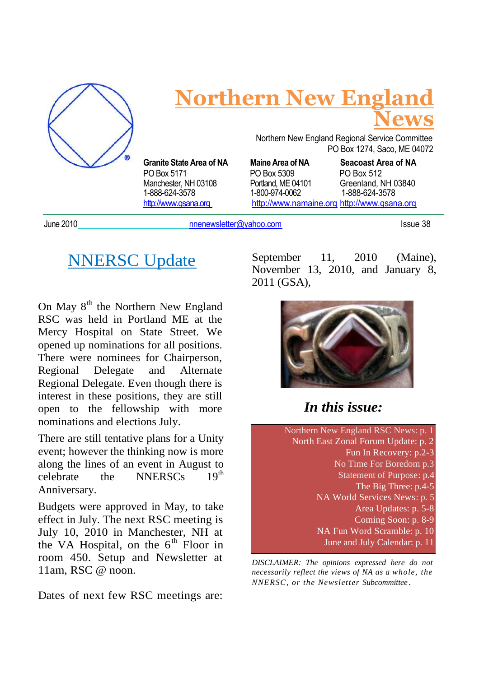

# **Northern New England News**

1-888-624-3578 1-800-974-0062 1-888-624-3578

Northern New England Regional Service Committee PO Box 1274, Saco, ME 04072

**Granite State Area of NA Maine Area of NA Seacoast Area of NA** PO Box 5171 PO Box 5309 PO Box 512 Manchester, NH 03108 Portland, ME 04101 Greenland, NH 03840<br>1-888-624-3578 1-800-974-0062 1-888-624-3578 http://www.gsana.org http://www.namaine.org http://www.gsana.org

June 2010 **no and Europe 2010** numeric members of the members of the members of the members of the members of the members of the members of the members of the members of the members of the members of the members of the mem

# **NNERSC** Update

On May  $8<sup>th</sup>$  the Northern New England RSC was held in Portland ME at the Mercy Hospital on State Street. We opened up nominations for all positions. There were nominees for Chairperson, Regional Delegate and Alternate Regional Delegate. Even though there is interest in these positions, they are still open to the fellowship with more nominations and elections July.

There are still tentative plans for a Unity event; however the thinking now is more along the lines of an event in August to celebrate the NNERSCs  $19<sup>th</sup>$ Anniversary.

Budgets were approved in May, to take effect in July. The next RSC meeting is July 10, 2010 in Manchester, NH at the VA Hospital, on the  $6<sup>th</sup>$  Floor in room 450. Setup and Newsletter at 11am, RSC @ noon.

Dates of next few RSC meetings are:

September 11, 2010 (Maine), November 13, 2010, and January 8, 2011 (GSA),



## *In this issue:*

Northern New England RSC News: p. 1 North East Zonal Forum Update: p. 2 Fun In Recovery: p.2-3 No Time For Boredom p.3 Statement of Purpose: p.4 The Big Three: p.4-5 NA World Services News: p. 5 Area Updates: p. 5-8 Coming Soon: p. 8-9 NA Fun Word Scramble: p. 10 June and July Calendar: p. 11

*DISCLAIMER: The opinions expressed here do not necessarily reflect the views of NA as a whole, the NNERSC, or the Newsletter Subcommittee .*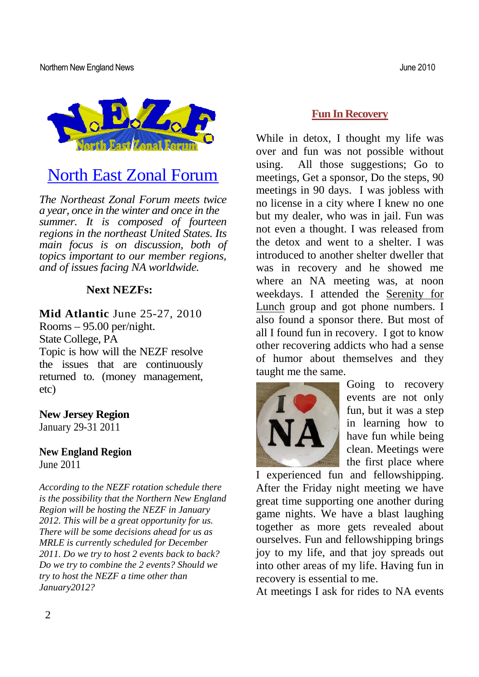Northern New England News June 2010



# North East Zonal Forum

*The Northeast Zonal Forum meets twice a year, once in the winter and once in the summer. It is composed of fourteen regions in the northeast United States. Its main focus is on discussion, both of topics important to our member regions, and of issues facing NA worldwide.*

#### **Next NEZFs:**

**Mid Atlantic** June 25-27, 2010 Rooms – 95.00 per/night. State College, PA Topic is how will the NEZF resolve the issues that are continuously returned to. (money management, etc)

**New Jersey Region** January 29-31 2011

**New England Region** June 2011

*According to the NEZF rotation schedule there is the possibility that the Northern New England Region will be hosting the NEZF in January 2012. This will be a great opportunity for us. There will be some decisions ahead for us as MRLE is currently scheduled for December 2011. Do we try to host 2 events back to back? Do we try to combine the 2 events? Should we try to host the NEZF a time other than January2012?*

While in detox, I thought my life was over and fun was not possible without using. All those suggestions; Go to meetings, Get a sponsor, Do the steps, 90 meetings in 90 days. I was jobless with no license in a city where I knew no one but my dealer, who was in jail. Fun was not even a thought. I was released from the detox and went to a shelter. I was introduced to another shelter dweller that was in recovery and he showed me where an NA meeting was, at noon weekdays. I attended the Serenity for Lunch group and got phone numbers. I also found a sponsor there. But most of all I found fun in recovery. I got to know other recovering addicts who had a sense of humor about themselves and they taught me the same.



Going to recovery events are not only fun, but it was a step in learning how to have fun while being clean. Meetings were the first place where

I experienced fun and fellowshipping. After the Friday night meeting we have great time supporting one another during game nights. We have a blast laughing together as more gets revealed about ourselves. Fun and fellowshipping brings joy to my life, and that joy spreads out into other areas of my life. Having fun in recovery is essential to me.

At meetings I ask for rides to NA events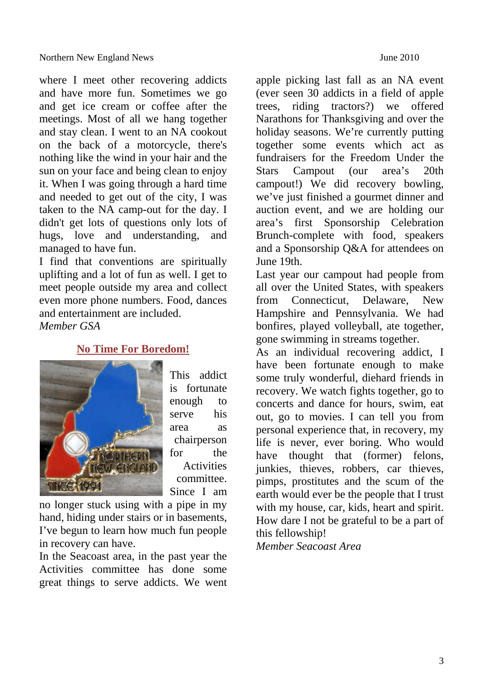where I meet other recovering addicts and have more fun. Sometimes we go and get ice cream or coffee after the meetings. Most of all we hang together and stay clean. I went to an NA cookout on the back of a motorcycle, there's nothing like the wind in your hair and the sun on your face and being clean to enjoy it. When I was going through a hard time and needed to get out of the city, I was taken to the NA camp-out for the day. I didn't get lots of questions only lots of hugs, love and understanding, and managed to have fun.

I find that conventions are spiritually uplifting and a lot of fun as well. I get to meet people outside my area and collect even more phone numbers. Food, dances and entertainment are included. *Member GSA*

#### **No Time For Boredom!**



This addict is fortunate enough to serve his area as chairperson for the **Activities** committee. Since I am

no longer stuck using with a pipe in my hand, hiding under stairs or in basements, I've begun to learn how much fun people in recovery can have.

In the Seacoast area, in the past year the Activities committee has done some great things to serve addicts. We went apple picking last fall as an NA event (ever seen 30 addicts in a field of apple trees, riding tractors?) we offered Narathons for Thanksgiving and over the holiday seasons. We're currently putting together some events which act as fundraisers for the Freedom Under the Stars Campout (our area's 20th campout!) We did recovery bowling, we've just finished a gourmet dinner and auction event, and we are holding our area's first Sponsorship Celebration Brunch-complete with food, speakers and a Sponsorship Q&A for attendees on June 19th.

Last year our campout had people from all over the United States, with speakers from Connecticut, Delaware, New Hampshire and Pennsylvania. We had bonfires, played volleyball, ate together, gone swimming in streams together.

As an individual recovering addict, I have been fortunate enough to make some truly wonderful, diehard friends in recovery. We watch fights together, go to concerts and dance for hours, swim, eat out, go to movies. I can tell you from personal experience that, in recovery, my life is never, ever boring. Who would have thought that (former) felons, junkies, thieves, robbers, car thieves, pimps, prostitutes and the scum of the earth would ever be the people that I trust with my house, car, kids, heart and spirit. How dare I not be grateful to be a part of this fellowship!

*Member Seacoast Area*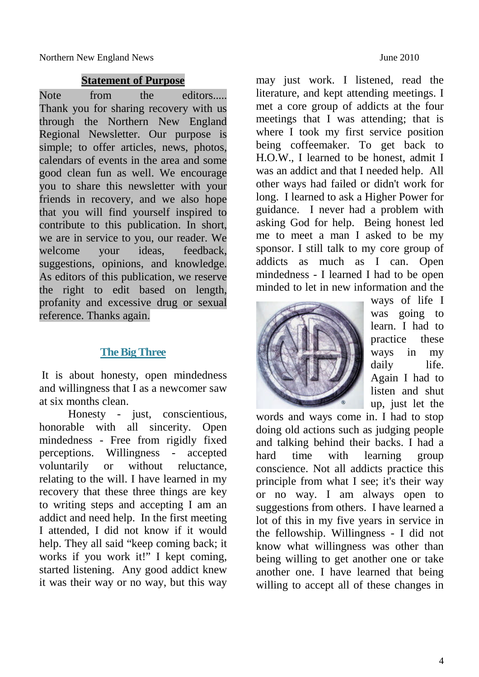Northern New England News **IVE 2010** 

#### **Statement of Purpose**

Note from the editors..... Thank you for sharing recovery with us through the Northern New England Regional Newsletter. Our purpose is simple; to offer articles, news, photos, calendars of events in the area and some good clean fun as well. We encourage you to share this newsletter with your friends in recovery, and we also hope that you will find yourself inspired to contribute to this publication. In short, we are in service to you, our reader. We welcome your ideas, feedback, suggestions, opinions, and knowledge. As editors of this publication, we reserve the right to edit based on length, profanity and excessive drug or sexual reference. Thanks again.

#### **The Big Three**

It is about honesty, open mindedness and willingness that I as a newcomer saw at six months clean.

Honesty - just, conscientious, honorable with all sincerity. Open mindedness - Free from rigidly fixed perceptions. Willingness - accepted voluntarily or without reluctance, relating to the will. I have learned in my recovery that these three things are key to writing steps and accepting I am an addict and need help. In the first meeting I attended, I did not know if it would help. They all said "keep coming back; it works if you work it!" I kept coming, started listening. Any good addict knew it was their way or no way, but this way may just work. I listened, read the literature, and kept attending meetings. I met a core group of addicts at the four meetings that I was attending; that is where I took my first service position being coffeemaker. To get back to H.O.W., I learned to be honest, admit I was an addict and that I needed help. All other ways had failed or didn't work for long. I learned to ask a Higher Power for guidance. I never had a problem with asking God for help. Being honest led me to meet a man I asked to be my sponsor. I still talk to my core group of addicts as much as I can. Open mindedness - I learned I had to be open minded to let in new information and the



ways of life I was going to learn. I had to practice these ways in my daily life. Again I had to listen and shut up, just let the

words and ways come in. I had to stop doing old actions such as judging people and talking behind their backs. I had a hard time with learning group conscience. Not all addicts practice this principle from what I see; it's their way or no way. I am always open to suggestions from others. I have learned a lot of this in my five years in service in the fellowship. Willingness - I did not know what willingness was other than being willing to get another one or take another one. I have learned that being willing to accept all of these changes in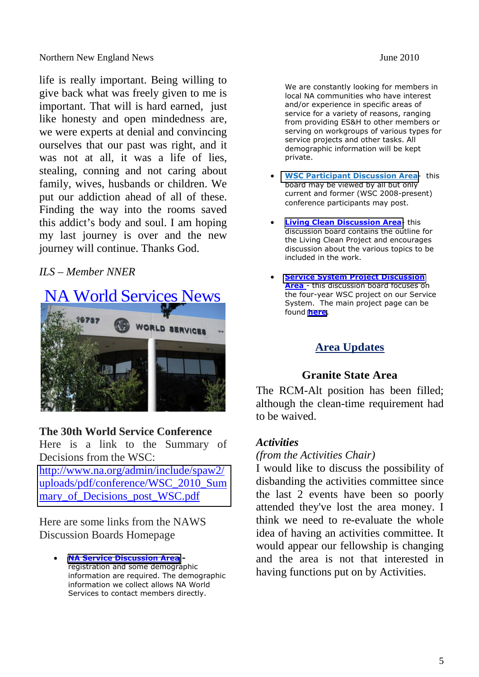life is really important. Being willing to give back what was freely given to me is important. That will is hard earned, just like honesty and open mindedness are, we were experts at denial and convincing ourselves that our past was right, and it was not at all, it was a life of lies, stealing, conning and not caring about family, wives, husbands or children. We put our addiction ahead of all of these. Finding the way into the rooms saved this addict's body and soul. I am hoping my last journey is over and the new journey will continue. Thanks God.

#### *ILS – Member NNER*



#### **The 30th World Service Conference**

Here is a link to the Summary of Decisions from the WSC: http://www.na.org/admin/include/spaw2/ [uploads/pdf/conference/WSC\\_2010\\_Sum](http://www.na.org/admin/include/spaw2/uploads/pdf/conference/WSC_2010_Summary_of_Decisions_post_WSC.pdf) mary of Decisions post WSC.pdf

Here are some links from the NAWS Discussion Boards Homepage

 **[NA Service Discussion Area](http://disc.na.org/servdisc/)**  registration and some demographic information are required. The demographic information we collect allows NA World Services to contact members directly.

We are constantly looking for members in local NA communities who have interest and/or experience in specific areas of service for a variety of reasons, ranging from providing ES&H to other members or serving on workgroups of various types for service projects and other tasks. All demographic information will be kept private.

- **[WSC Participant Discussion Area](http://disc.na.org/wsc/index.php)** this board may be viewed by all but only current and former (WSC 2008-present) conference participants may post.
- **[Living Clean Discussion Area](http://www.naws.org/lc/) this** discussion board contains the outline for the Living Clean Project and encourages discussion about the various topics to be included in the work.
- **[Service System Project Discussion](http://disc.na.org/servsys/index.php) Area** - this discussion board focuses on the four-year WSC project on our Service System. The main project page can be found **[here](http://www.na.org/?ID=servsys)**.

### **Area Updates**

#### **Granite State Area**

The RCM-Alt position has been filled; although the clean-time requirement had to be waived.

#### *Activities*

#### *(from the Activities Chair)*

I would like to discuss the possibility of disbanding the activities committee since the last 2 events have been so poorly attended they've lost the area money. I think we need to re-evaluate the whole idea of having an activities committee. It would appear our fellowship is changing and the area is not that interested in having functions put on by Activities.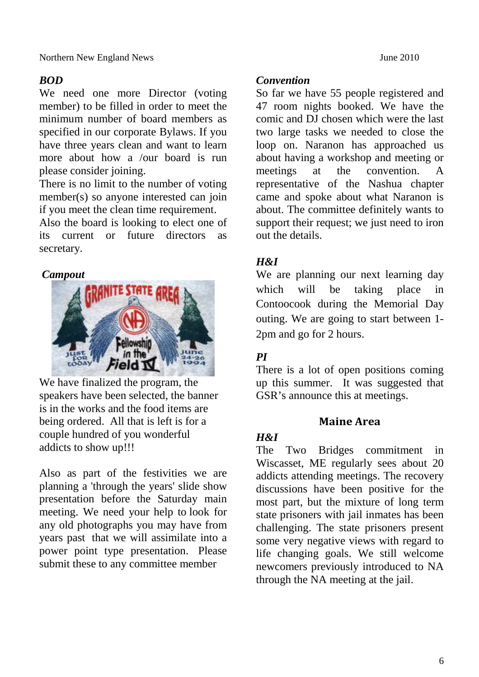### *BOD*

We need one more Director (voting member) to be filled in order to meet the minimum number of board members as specified in our corporate Bylaws. If you have three years clean and want to learn more about how a /our board is run please consider joining.

There is no limit to the number of voting member(s) so anyone interested can join if you meet the clean time requirement.

Also the board is looking to elect one of its current or future directors as secretary.

### *Campout*



We have finalized the program, the speakers have been selected, the banner is in the works and the food items are being ordered. All that is left is for a couple hundred of you wonderful addicts to show up!!!

Also as part of the festivities we are planning a 'through the years' slide show presentation before the Saturday main meeting. We need your help to look for any old photographs you may have from years past that we will assimilate into a power point type presentation. Please submit these to any committee member

#### *Convention*

So far we have 55 people registered and 47 room nights booked. We have the comic and DJ chosen which were the last two large tasks we needed to close the loop on. Naranon has approached us about having a workshop and meeting or meetings at the convention. A representative of the Nashua chapter came and spoke about what Naranon is about. The committee definitely wants to support their request; we just need to iron out the details.

### *H&I*

We are planning our next learning day which will be taking place in Contoocook during the Memorial Day outing. We are going to start between 1- 2pm and go for 2 hours.

### *PI*

There is a lot of open positions coming up this summer. It was suggested that GSR's announce this at meetings.

### **Maine Area**

#### *H&I*

The Two Bridges commitment in Wiscasset, ME regularly sees about 20 addicts attending meetings. The recovery discussions have been positive for the most part, but the mixture of long term state prisoners with jail inmates has been challenging. The state prisoners present some very negative views with regard to life changing goals. We still welcome newcomers previously introduced to NA through the NA meeting at the jail.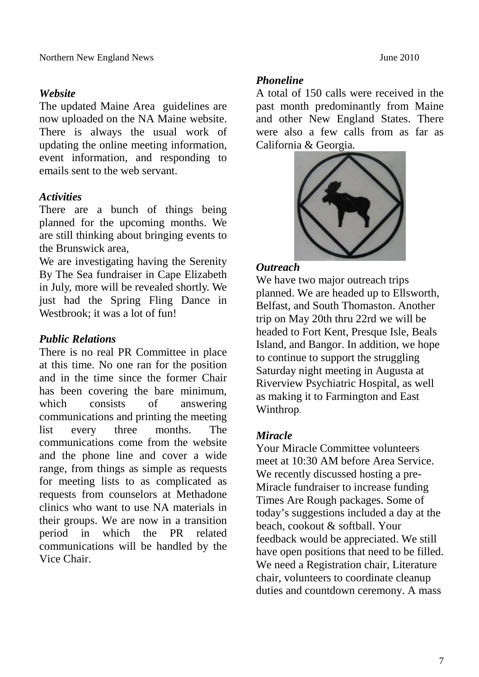#### *Website*

The updated Maine Area guidelines are now uploaded on the NA Maine website. There is always the usual work of updating the online meeting information, event information, and responding to emails sent to the web servant.

#### *Activities*

There are a bunch of things being planned for the upcoming months. We are still thinking about bringing events to the Brunswick area,

We are investigating having the Serenity By The Sea fundraiser in Cape Elizabeth in July, more will be revealed shortly. We just had the Spring Fling Dance in Westbrook: it was a lot of fun!

#### *Public Relations*

There is no real PR Committee in place at this time. No one ran for the position and in the time since the former Chair has been covering the bare minimum, which consists of answering communications and printing the meeting list every three months. The communications come from the website and the phone line and cover a wide range, from things as simple as requests for meeting lists to as complicated as requests from counselors at Methadone clinics who want to use NA materials in their groups. We are now in a transition period in which the PR related communications will be handled by the Vice Chair.

#### *Phoneline*

A total of 150 calls were received in the past month predominantly from Maine and other New England States. There were also a few calls from as far as California & Georgia.



#### *Outreach*

We have two major outreach trips planned. We are headed up to Ellsworth, Belfast, and South Thomaston. Another trip on May 20th thru 22rd we will be headed to Fort Kent, Presque Isle, Beals Island, and Bangor. In addition, we hope to continue to support the struggling Saturday night meeting in Augusta at Riverview Psychiatric Hospital, as well as making it to Farmington and East Winthrop.

#### *Miracle*

Your Miracle Committee volunteers meet at 10:30 AM before Area Service. We recently discussed hosting a pre-Miracle fundraiser to increase funding Times Are Rough packages. Some of today's suggestions included a day at the beach, cookout & softball. Your feedback would be appreciated. We still have open positions that need to be filled. We need a Registration chair, Literature chair, volunteers to coordinate cleanup duties and countdown ceremony. A mass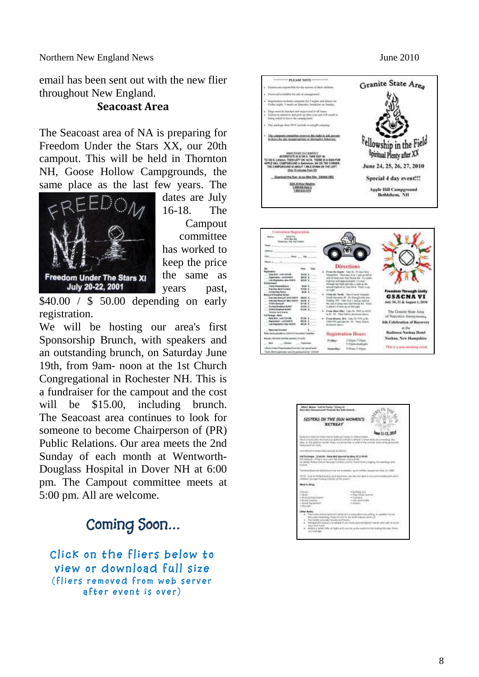Northern New England News **June 2010** 

email has been sent out with the new flier throughout New England.

#### **Seacoast Area**

The Seacoast area of NA is preparing for Freedom Under the Stars XX, our 20th campout. This will be held in Thornton NH, Goose Hollow Campgrounds, the same place as the last few years. The



dates are July 16-18. The Campout committee has worked to keep the price the same as years past,

\$40.00 / \$ 50.00 depending on early registration.

We will be hosting our area's first Sponsorship Brunch, with speakers and an outstanding brunch, on Saturday June 19th, from 9am- noon at the 1st Church Congregational in Rochester NH. This is a fundraiser for the campout and the cost will be \$15.00, including brunch. The Seacoast area continues to look for someone to become Chairperson of (PR) Public Relations. Our area meets the 2nd Sunday of each month at Wentworth-Douglass Hospital in Dover NH at 6:00 pm. The Campout committee meets at 5:00 pm. All are welcome.

# **Coming Soon…**

**Click on the fliers below to view or download full size** (fliers removed from web server after event is over)

| . Firewood available for usis at compares of                                                                                                                                       | 4 Parent are repossible for the actions of their stations.              |                    |                                                                                                                                                                                          | Granite State Area                                                                                                                                                                                                   |  |
|------------------------------------------------------------------------------------------------------------------------------------------------------------------------------------|-------------------------------------------------------------------------|--------------------|------------------------------------------------------------------------------------------------------------------------------------------------------------------------------------------|----------------------------------------------------------------------------------------------------------------------------------------------------------------------------------------------------------------------|--|
|                                                                                                                                                                                    |                                                                         |                    |                                                                                                                                                                                          |                                                                                                                                                                                                                      |  |
|                                                                                                                                                                                    |                                                                         |                    |                                                                                                                                                                                          |                                                                                                                                                                                                                      |  |
| Registration matheles compone the 7 sights and domestor.<br>Finles angle, 3-mosts on furturitie; Developed on Natoleo.                                                             |                                                                         |                    |                                                                                                                                                                                          |                                                                                                                                                                                                                      |  |
| e Days must be beeried and separatual at all kiness<br>If allows no sensed for most picks up letter your part will level to<br>liming asked to know the sumproved.                 |                                                                         |                    |                                                                                                                                                                                          |                                                                                                                                                                                                                      |  |
| + Electrology does NFF variable mentaliti construy.                                                                                                                                |                                                                         |                    |                                                                                                                                                                                          |                                                                                                                                                                                                                      |  |
| The Language committee assessors the right to ack answer<br>to losts his lots in aggregation or distaggles believing.                                                              |                                                                         |                    |                                                                                                                                                                                          | Fellowship in the Field                                                                                                                                                                                              |  |
| TO 262 E. LINMAN, THEN LEFT ON 142 N. THERE IS A SIGN FOR<br>APPLE HEL CAMPGROUND in Bettishum, NH ON THE CORNER.                                                                  | <b><i>SHIRTENS TO CAMPUCT</i></b><br>INTERSTATE SO N DK 5, TAKE EXIT 40 |                    |                                                                                                                                                                                          | Spiritual Plenty after XX                                                                                                                                                                                            |  |
| THE CAMPGROUND IS ABOUT 1 MILE DOWN ON THE LEFT.                                                                                                                                   | <b>Driv 10 minutes from 820</b>                                         |                    |                                                                                                                                                                                          | June 24, 25, 26, 27, 2010                                                                                                                                                                                            |  |
| Continued First Farm of any Hire Site, 108454-080                                                                                                                                  |                                                                         |                    |                                                                                                                                                                                          | Special 4 day event!!!                                                                                                                                                                                               |  |
|                                                                                                                                                                                    | GSA 24 May Pelpline                                                     |                    |                                                                                                                                                                                          |                                                                                                                                                                                                                      |  |
| 1409/65/2022<br>1008/426-2222                                                                                                                                                      |                                                                         |                    |                                                                                                                                                                                          | Apple Hill Campground<br>Bethlehem, NH                                                                                                                                                                               |  |
| <b>Convention Registration</b><br><b>CONCAR</b><br><b>Madrid</b>                                                                                                                   |                                                                         |                    |                                                                                                                                                                                          |                                                                                                                                                                                                                      |  |
| Fluoresc. NB SUTTINGS                                                                                                                                                              | <b>Hart</b>                                                             |                    |                                                                                                                                                                                          |                                                                                                                                                                                                                      |  |
| e i                                                                                                                                                                                |                                                                         |                    |                                                                                                                                                                                          |                                                                                                                                                                                                                      |  |
| dalam.<br>Tolythia Loan Istinia<br>Repayter Listaters                                                                                                                              | <b>Bigs</b><br>6946.3<br>19121.3<br><b>SPLES S</b>                      |                    | Directions<br>Freecola South: Take Ky. 15 Jani No.<br>Herepiders: "Then kiks that I need up but at<br>old of very rest-four fronts for the scale<br>lightest and approximately live neke |                                                                                                                                                                                                                      |  |
| <b>LEAR OLD</b><br>Frein Kernsofisma                                                                                                                                               | <b>BOW X</b>                                                            |                    | through over hard with take a right at the<br>sourced ingles on an Yarly Wind Trivani arrest                                                                                             |                                                                                                                                                                                                                      |  |
| <b>Indones Art 4 Gonety</b><br>to Betra-Electric                                                                                                                                   | <b>MAR 8</b><br><b>MAI 4</b>                                            | an inght.          |                                                                                                                                                                                          |                                                                                                                                                                                                                      |  |
| put & Smallad Bullar<br>Tokohny Burayal' (AAE FINER<br><b>Education Printed After 1979 1</b><br><b>Child is Barrought</b>                                                          | <b>ENLES</b> &<br>$\frac{10.16}{10.16}$                                 |                    | A. Joseph Avek, Said now Jargian<br>braik University Br. 151 (Block) S/R. Well<br>Atachaa, 1491 - Tulko Kinin II and gereight us.<br>Mei shel of name mine Spid Drood, Nat. Todair       |                                                                                                                                                                                                                      |  |
| <b>Runday Roadfoot Bulletin</b><br>Chief is Bankfuld, Staffer"                                                                                                                     | <b>BRACK</b><br><b>NNM 4</b>                                            |                    | is phone is it and a support the right.<br>4 - Free May Play Care to 200 a 4400                                                                                                          |                                                                                                                                                                                                                      |  |
| <b>Scholar-Ter &amp; Strawing</b><br>Ul-Pachage, Milche                                                                                                                            | <b>FILM</b>                                                             |                    | in \$1.151 They falley distortery als                                                                                                                                                    | The Granite State Area                                                                                                                                                                                               |  |
| And the committee<br>Rependent Lux 81878<br>Las Tepolates of a 12010                                                                                                               | <b>M1.65</b><br><b>BRA 1</b>                                            | discontract plans. | From Rome, MA: Vas 24 974 a Ri-<br>1000 PDS and sake Mr. 150 Thurs, follows                                                                                                              |                                                                                                                                                                                                                      |  |
| <b>Resource Donation</b>                                                                                                                                                           |                                                                         |                    |                                                                                                                                                                                          | at the                                                                                                                                                                                                               |  |
|                                                                                                                                                                                    |                                                                         |                    | Registration Hours                                                                                                                                                                       |                                                                                                                                                                                                                      |  |
| <b>New viewer adjuster on AAA/AAA) percentage Computible</b><br>san hinda datah gamtu shada<br>that is<br>$-40000$<br>· Phone compating images with all print facts app summer was | $-$ 100000                                                              | Findest            | Volum <sup>4</sup> Digm<br>9.70pm-esdeagle                                                                                                                                               | <b>Freedom Through Unity</b><br>GSACNA VI<br>July 30, 31 & August 1, 2010<br>of Narcoties Anonymous,<br>6th Celebration of Recover<br>Radisson Nashua Hotel<br>Nashua, New Hampshire<br>This is a non-resolute creat |  |





- 
-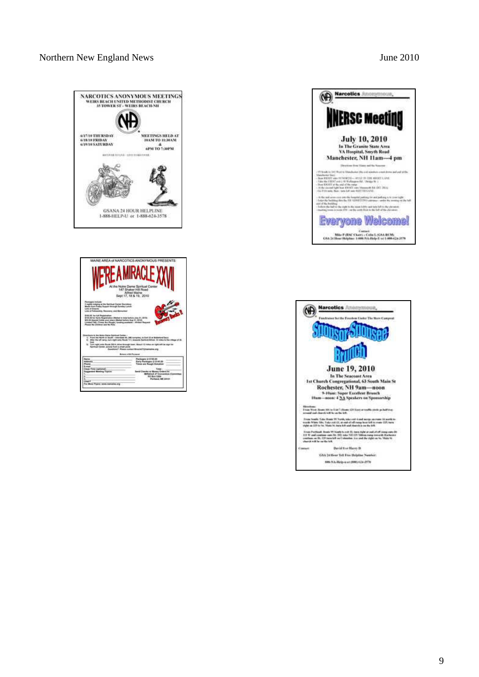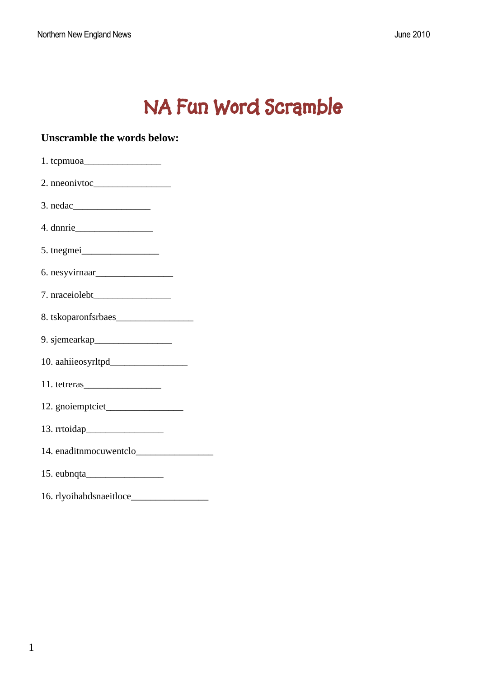# **NA Fun Word Scramble**

| <b>Unscramble the words below:</b> |
|------------------------------------|
|                                    |
|                                    |
|                                    |
|                                    |
| 5. tnegmei                         |
|                                    |
|                                    |
|                                    |
|                                    |
|                                    |
|                                    |
|                                    |
|                                    |
|                                    |
|                                    |
|                                    |